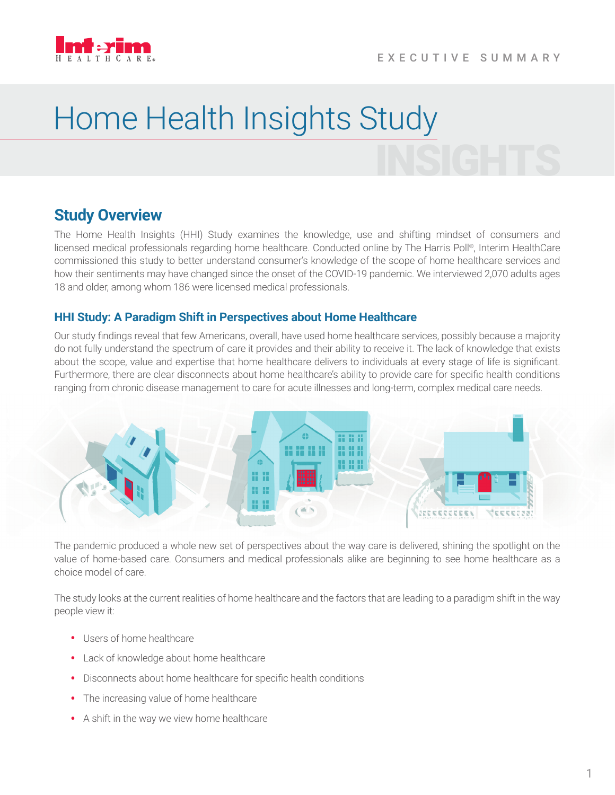

# INSIGHTS Home Health Insights Study

## **Study Overview**

The Home Health Insights (HHI) Study examines the knowledge, use and shifting mindset of consumers and licensed medical professionals regarding home healthcare. Conducted online by The Harris Poll®, Interim HealthCare commissioned this study to better understand consumer's knowledge of the scope of home healthcare services and how their sentiments may have changed since the onset of the COVID-19 pandemic. We interviewed 2,070 adults ages 18 and older, among whom 186 were licensed medical professionals.

#### **HHI Study: A Paradigm Shift in Perspectives about Home Healthcare**

Our study findings reveal that few Americans, overall, have used home healthcare services, possibly because a majority do not fully understand the spectrum of care it provides and their ability to receive it. The lack of knowledge that exists about the scope, value and expertise that home healthcare delivers to individuals at every stage of life is significant. Furthermore, there are clear disconnects about home healthcare's ability to provide care for specific health conditions ranging from chronic disease management to care for acute illnesses and long-term, complex medical care needs.



The pandemic produced a whole new set of perspectives about the way care is delivered, shining the spotlight on the value of home-based care. Consumers and medical professionals alike are beginning to see home healthcare as a choice model of care.

The study looks at the current realities of home healthcare and the factors that are leading to a paradigm shift in the way people view it:

- Users of home healthcare
- Lack of knowledge about home healthcare
- Disconnects about home healthcare for specific health conditions
- The increasing value of home healthcare
- A shift in the way we view home healthcare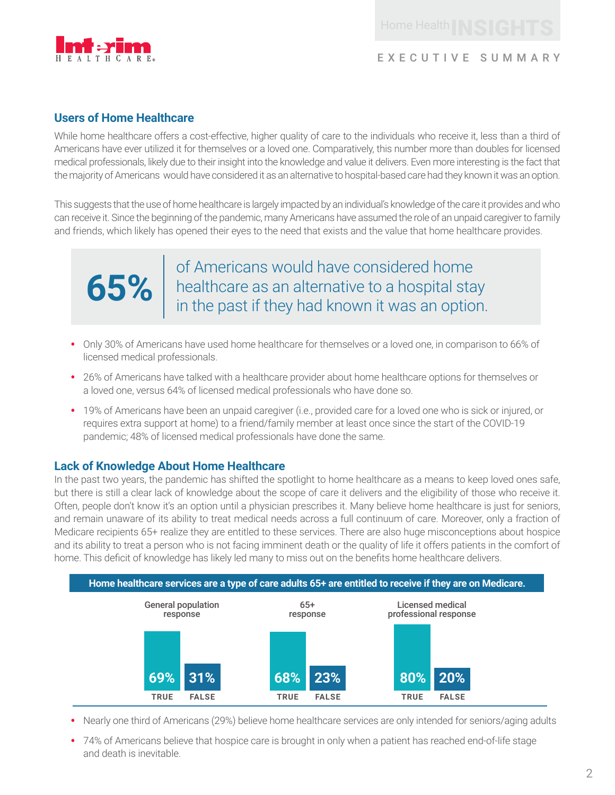

### EXECUTIVE SUMMARY

#### **Users of Home Healthcare**

While home healthcare offers a cost-effective, higher quality of care to the individuals who receive it, less than a third of Americans have ever utilized it for themselves or a loved one. Comparatively, this number more than doubles for licensed medical professionals, likely due to their insight into the knowledge and value it delivers. Even more interesting is the fact that the majority of Americans would have considered it as an alternative to hospital-based care had they known it was an option.

This suggests that the use of home healthcare is largely impacted by an individual's knowledge of the care it provides and who can receive it. Since the beginning of the pandemic, many Americans have assumed the role of an unpaid caregiver to family and friends, which likely has opened their eyes to the need that exists and the value that home healthcare provides.



**65%** healthcare as an alternative to a hospital stay of Americans would have considered home in the past if they had known it was an option.

- Only 30% of Americans have used home healthcare for themselves or a loved one, in comparison to 66% of licensed medical professionals.
- 26% of Americans have talked with a healthcare provider about home healthcare options for themselves or a loved one, versus 64% of licensed medical professionals who have done so.
- 19% of Americans have been an unpaid caregiver (i.e., provided care for a loved one who is sick or injured, or requires extra support at home) to a friend/family member at least once since the start of the COVID-19 pandemic; 48% of licensed medical professionals have done the same.

#### **Lack of Knowledge About Home Healthcare**

In the past two years, the pandemic has shifted the spotlight to home healthcare as a means to keep loved ones safe, but there is still a clear lack of knowledge about the scope of care it delivers and the eligibility of those who receive it. Often, people don't know it's an option until a physician prescribes it. Many believe home healthcare is just for seniors, and remain unaware of its ability to treat medical needs across a full continuum of care. Moreover, only a fraction of Medicare recipients 65+ realize they are entitled to these services. There are also huge misconceptions about hospice and its ability to treat a person who is not facing imminent death or the quality of life it offers patients in the comfort of home. This deficit of knowledge has likely led many to miss out on the benefits home healthcare delivers.



- Nearly one third of Americans (29%) believe home healthcare services are only intended for seniors/aging adults
- 74% of Americans believe that hospice care is brought in only when a patient has reached end-of-life stage and death is inevitable.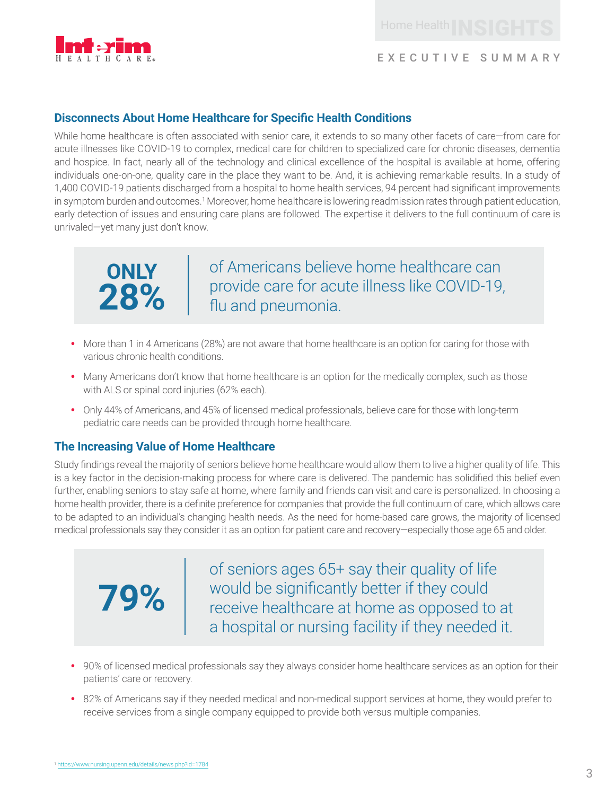

#### **Disconnects About Home Healthcare for Specific Health Conditions**

While home healthcare is often associated with senior care, it extends to so many other facets of care—from care for acute illnesses like COVID-19 to complex, medical care for children to specialized care for chronic diseases, dementia and hospice. In fact, nearly all of the technology and clinical excellence of the hospital is available at home, offering individuals one-on-one, quality care in the place they want to be. And, it is achieving remarkable results. In a study of 1,400 COVID-19 patients discharged from a hospital to home health services, 94 percent had significant improvements in symptom burden and outcomes.<sup>1</sup> Moreover, home healthcare is lowering readmission rates through patient education, early detection of issues and ensuring care plans are followed. The expertise it delivers to the full continuum of care is unrivaled—yet many just don't know.



of Americans believe home healthcare can provide care for acute illness like COVID-19, flu and pneumonia.

- More than 1 in 4 Americans (28%) are not aware that home healthcare is an option for caring for those with various chronic health conditions.
- Many Americans don't know that home healthcare is an option for the medically complex, such as those with ALS or spinal cord injuries (62% each).
- Only 44% of Americans, and 45% of licensed medical professionals, believe care for those with long-term pediatric care needs can be provided through home healthcare.

#### **The Increasing Value of Home Healthcare**

Study findings reveal the majority of seniors believe home healthcare would allow them to live a higher quality of life. This is a key factor in the decision-making process for where care is delivered. The pandemic has solidified this belief even further, enabling seniors to stay safe at home, where family and friends can visit and care is personalized. In choosing a home health provider, there is a definite preference for companies that provide the full continuum of care, which allows care to be adapted to an individual's changing health needs. As the need for home-based care grows, the majority of licensed medical professionals say they consider it as an option for patient care and recovery—especially those age 65 and older.

**79%** of seniors ages 65+ say their quality of life would be significantly better if they could receive healthcare at home as opposed to at a hospital or nursing facility if they needed it.

- 90% of licensed medical professionals say they always consider home healthcare services as an option for their patients' care or recovery.
- <sup>82</sup>% of Americans say if they needed medical and non-medical support services at home, they would prefer to receive services from a single company equipped to provide both versus multiple companies.